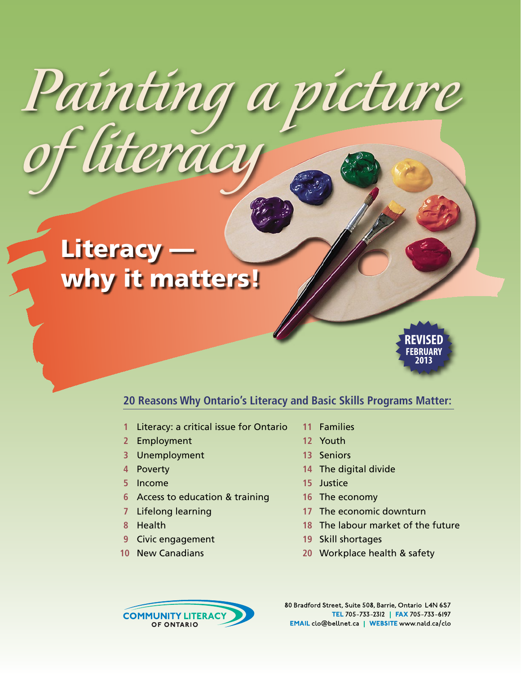# Literacy why it matters!

*of literacy*



### **20 Reasons Why Ontario's Literacy and Basic Skills Programs Matter:**

*Painting a picture* 

- Literacy: a critical issue for Ontario
- Employment
- Unemployment
- Poverty
- Income
- Access to education & training
- Lifelong learning
- Health
- Civic engagement
- New Canadians
- Families
- Youth
- Seniors
- The digital divide
- Justice
- The economy
- The economic downturn
- The labour market of the future
- Skill shortages
- Workplace health & safety



80 Bradford Street, Suite 508, Barrie, Ontario L4N 6S7 TEL 705-733-2312 | FAX 705-733-6197 EMAIL clo@bellnet ca | WEBSITE www.nald.ca/clo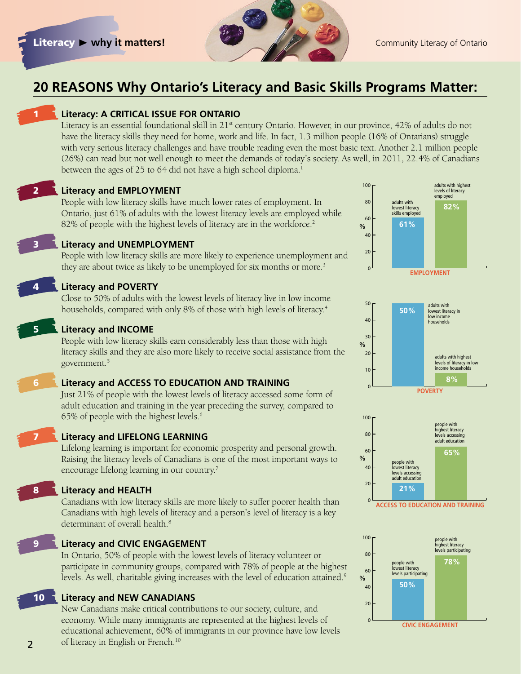

adults with highest

100

## **20 REASONS Why Ontario's Literacy and Basic Skills Programs Matter:**



#### **Literacy: A CRITICAL ISSUE FOR ONTARIO**

Literacy is an essential foundational skill in 21<sup>st</sup> century Ontario. However, in our province, 42% of adults do not have the literacy skills they need for home, work and life. In fact, 1.3 million people (16% of Ontarians) struggle with very serious literacy challenges and have trouble reading even the most basic text. Another 2.1 million people (26%) can read but not well enough to meet the demands of today's society. As well, in 2011, 22.4% of Canadians between the ages of 25 to 64 did not have a high school diploma.<sup>1</sup>

2 **Literacy and EMPLOYMENT**

People with low literacy skills have much lower rates of employment. In Ontario, just 61% of adults with the lowest literacy levels are employed while 82% of people with the highest levels of literacy are in the workforce.<sup>2</sup>



### **Literacy and UNEMPLOYMENT**

People with low literacy skills are more likely to experience unemployment and they are about twice as likely to be unemployed for six months or more.<sup>3</sup>

#### **Literacy and POVERTY**

Close to 50% of adults with the lowest levels of literacy live in low income households, compared with only 8% of those with high levels of literacy.<sup>4</sup>

#### 5 **Literacy and INCOME**

People with low literacy skills earn considerably less than those with high literacy skills and they are also more likely to receive social assistance from the government.5

#### 6 **Literacy and ACCESS TO EDUCATION AND TRAINING**

Just 21% of people with the lowest levels of literacy accessed some form of adult education and training in the year preceding the survey, compared to 65% of people with the highest levels.6



#### 7 **Literacy and LIFELONG LEARNING**

Lifelong learning is important for economic prosperity and personal growth. Raising the literacy levels of Canadians is one of the most important ways to encourage lifelong learning in our country.7

#### 8 **Literacy and HEALTH**

Canadians with low literacy skills are more likely to suffer poorer health than Canadians with high levels of literacy and a person's level of literacy is a key determinant of overall health.<sup>8</sup>

2

#### **Literacy and CIVIC ENGAGEMENT**

In Ontario, 50% of people with the lowest levels of literacy volunteer or participate in community groups, compared with 78% of people at the highest levels. As well, charitable giving increases with the level of education attained.<sup>9</sup>

10 **Literacy and NEW CANADIANS**

New Canadians make critical contributions to our society, culture, and economy. While many immigrants are represented at the highest levels of educational achievement, 60% of immigrants in our province have low levels of literacy in English or French.<sup>10</sup>



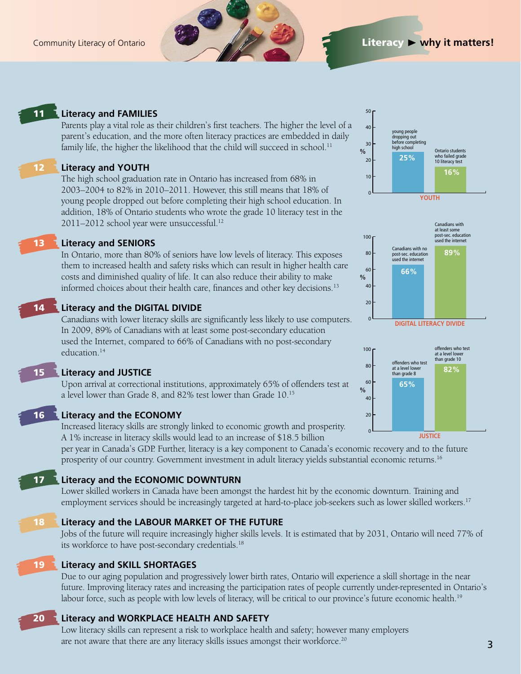

### 11 **Literacy and FAMILIES**

Parents play a vital role as their children's first teachers. The higher the level of a parent's education, and the more often literacy practices are embedded in daily family life, the higher the likelihood that the child will succeed in school.<sup>11</sup>

#### 12 **Literacy and YOUTH**

The high school graduation rate in Ontario has increased from 68% in 2003–2004 to 82% in 2010–2011. However, this still means that 18% of young people dropped out before completing their high school education. In addition, 18% of Ontario students who wrote the grade 10 literacy test in the 2011–2012 school year were unsuccessful.12

### 13 **Literacy and SENIORS**

In Ontario, more than 80% of seniors have low levels of literacy. This exposes them to increased health and safety risks which can result in higher health care costs and diminished quality of life. It can also reduce their ability to make informed choices about their health care, finances and other key decisions.<sup>13</sup>

#### 14 **Literacy and the DIGITAL DIVIDE**

Canadians with lower literacy skills are significantly less likely to use computers. In 2009, 89% of Canadians with at least some post-secondary education used the Internet, compared to 66% of Canadians with no post-secondary education.14

15 **Literacy and JUSTICE**

Upon arrival at correctional institutions, approximately 65% of offenders test at a level lower than Grade 8, and 82% test lower than Grade 10.15

#### 16 **Literacy and the ECONOMY**

Increased literacy skills are strongly linked to economic growth and prosperity. A 1% increase in literacy skills would lead to an increase of \$18.5 billion

per year in Canada's GDP. Further, literacy is a key component to Canada's economic recovery and to the future prosperity of our country. Government investment in adult literacy yields substantial economic returns.16

### 17 **Literacy and the ECONOMIC DOWNTURN**

Lower skilled workers in Canada have been amongst the hardest hit by the economic downturn. Training and employment services should be increasingly targeted at hard-to-place job-seekers such as lower skilled workers.17

#### 18 **Literacy and the LABOUR MARKET OF THE FUTURE**

Jobs of the future will require increasingly higher skills levels. It is estimated that by 2031, Ontario will need 77% of its workforce to have post-secondary credentials.<sup>18</sup>

#### 19 **Literacy and SKILL SHORTAGES**

Due to our aging population and progressively lower birth rates, Ontario will experience a skill shortage in the near future. Improving literacy rates and increasing the participation rates of people currently under-represented in Ontario's labour force, such as people with low levels of literacy, will be critical to our province's future economic health.<sup>19</sup>

### 20 **Literacy and WORKPLACE HEALTH AND SAFETY**

Low literacy skills can represent a risk to workplace health and safety; however many employers are not aware that there are any literacy skills issues amongst their workforce.<sup>20</sup>